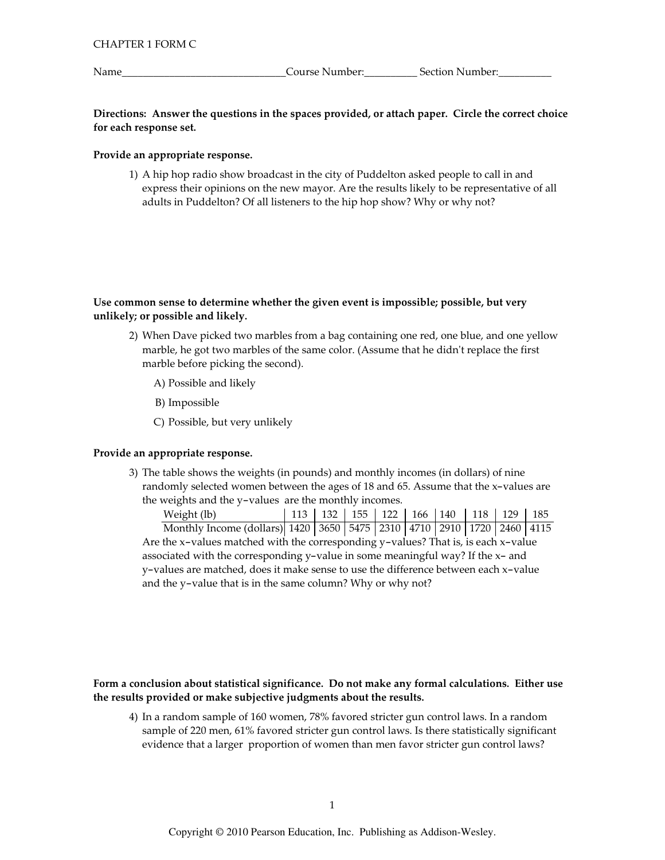Name

Course Number:\_\_\_\_\_\_

## Directions: Answer the questions in the spaces provided, or attach paper. Circle the correct choice for each response set.

## Provide an appropriate response.

1) A hip hop radio show broadcast in the city of Puddelton asked people to call in and express their opinions on the new mayor. Are the results likely to be representative of all adults in Puddelton? Of all listeners to the hip hop show? Why or why not?

## Use common sense to determine whether the given event is impossible; possible, but very unlikely; or possible and likely.

- 2) When Dave picked two marbles from a bag containing one red, one blue, and one yellow marble, he got two marbles of the same color. (Assume that he didn't replace the first marble before picking the second).
	- A) Possible and likely
	- B) Impossible
	- C) Possible, but very unlikely

## Provide an appropriate response.

3) The table shows the weights (in pounds) and monthly incomes (in dollars) of nine randomly selected women between the ages of 18 and 65. Assume that the x-values are the weights and the y-values are the monthly incomes.

Weight (lb) 113 | 132 | 155 | 122 | 166 | 140  $118$  | 129 | 185 Monthly Income (dollars) 1420 | 3650 | 5475 | 2310 | 4710 | 2910 | 1720 | 2460 | 4115 Are the x-values matched with the corresponding y-values? That is, is each x-value associated with the corresponding y-value in some meaningful way? If the x- and y-values are matched, does it make sense to use the difference between each x-value and the y-value that is in the same column? Why or why not?

## Form a conclusion about statistical significance. Do not make any formal calculations. Either use the results provided or make subjective judgments about the results.

4) In a random sample of 160 women, 78% favored stricter gun control laws. In a random sample of 220 men, 61% favored stricter gun control laws. Is there statistically significant evidence that a larger proportion of women than men favor stricter gun control laws?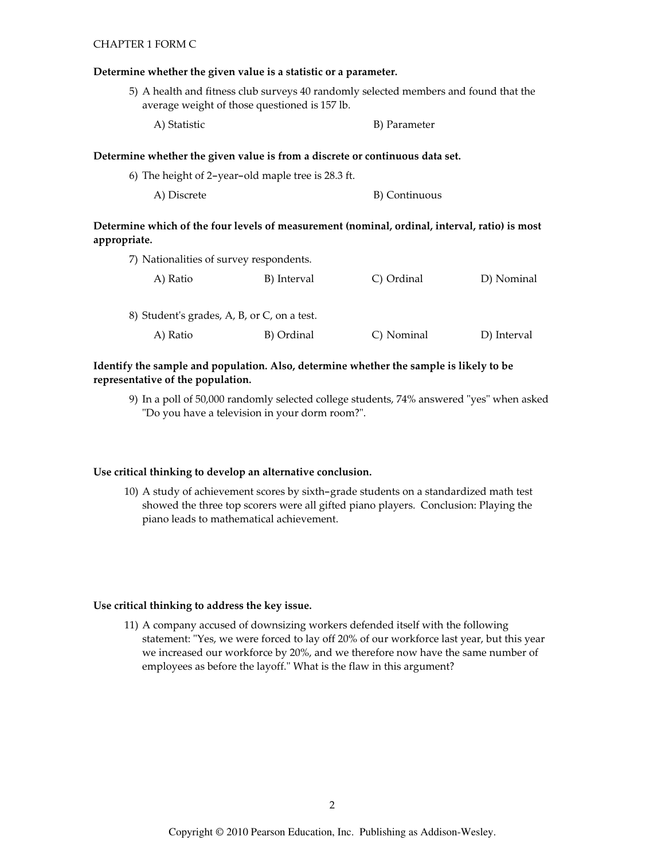#### **CHAPTER 1 FORM C**

#### Determine whether the given value is a statistic or a parameter.

5) A health and fitness club surveys 40 randomly selected members and found that the average weight of those questioned is 157 lb.

A) Statistic B) Parameter

#### Determine whether the given value is from a discrete or continuous data set.

| 6) The height of 2-year-old maple tree is 28.3 ft. |               |
|----------------------------------------------------|---------------|
| A) Discrete                                        | B) Continuous |

# Determine which of the four levels of measurement (nominal, ordinal, interval, ratio) is most appropriate.

| 7) Nationalities of survey respondents. |             |            |
|-----------------------------------------|-------------|------------|
| A) Ratio                                | B) Interval | C) Ordinal |

| 8) Student's grades, A, B, or C, on a test. |            |            |             |
|---------------------------------------------|------------|------------|-------------|
| A) Ratio                                    | B) Ordinal | C) Nominal | D) Interval |

D) Nominal

## Identify the sample and population. Also, determine whether the sample is likely to be representative of the population.

9) In a poll of 50,000 randomly selected college students, 74% answered "yes" when asked "Do you have a television in your dorm room?".

## Use critical thinking to develop an alternative conclusion.

10) A study of achievement scores by sixth-grade students on a standardized math test showed the three top scorers were all gifted piano players. Conclusion: Playing the piano leads to mathematical achievement.

## Use critical thinking to address the key issue.

11) A company accused of downsizing workers defended itself with the following statement: "Yes, we were forced to lay off 20% of our workforce last year, but this year we increased our workforce by 20%, and we therefore now have the same number of employees as before the layoff." What is the flaw in this argument?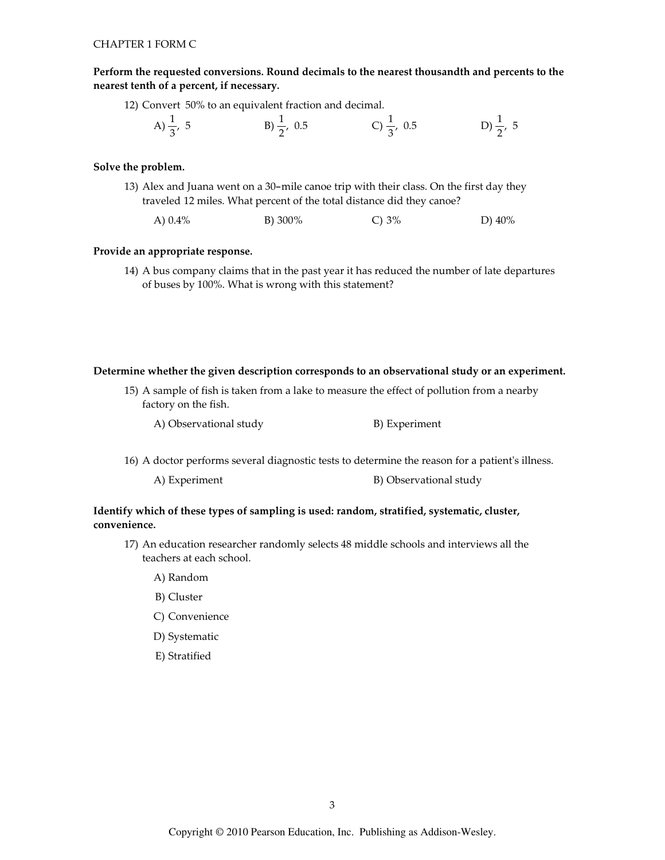Perform the requested conversions. Round decimals to the nearest thousandth and percents to the nearest tenth of a percent, if necessary.

12) Convert 50% to an equivalent fraction and decimal.

| A) $\frac{1}{3}$ , 5 | B) $\frac{1}{2}$ , 0.5 | C) $\frac{1}{3}$ , 0.5 | D) $\frac{1}{2}$ , 5 |
|----------------------|------------------------|------------------------|----------------------|
|                      |                        |                        |                      |

## Solve the problem.

- 13) Alex and Juana went on a 30-mile canoe trip with their class. On the first day they traveled 12 miles. What percent of the total distance did they canoe?
	- B) 300% A)  $0.4\%$  $C$ ) 3% D) 40%

#### Provide an appropriate response.

14) A bus company claims that in the past year it has reduced the number of late departures of buses by 100%. What is wrong with this statement?

#### Determine whether the given description corresponds to an observational study or an experiment.

15) A sample of fish is taken from a lake to measure the effect of pollution from a nearby factory on the fish.

A) Observational study B) Experiment

16) A doctor performs several diagnostic tests to determine the reason for a patient's illness.

| A) Experiment | B) Observational study |
|---------------|------------------------|
|---------------|------------------------|

## Identify which of these types of sampling is used: random, stratified, systematic, cluster, convenience.

- 17) An education researcher randomly selects 48 middle schools and interviews all the teachers at each school.
	- A) Random
	- B) Cluster
	- C) Convenience
	- D) Systematic
	- E) Stratified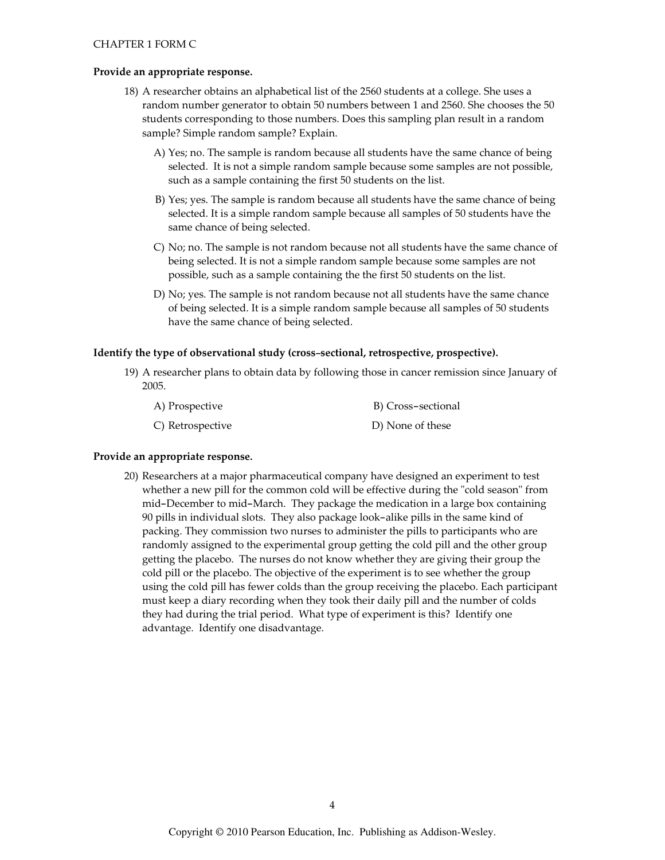#### Provide an appropriate response.

- 18) A researcher obtains an alphabetical list of the 2560 students at a college. She uses a random number generator to obtain 50 numbers between 1 and 2560. She chooses the 50 students corresponding to those numbers. Does this sampling plan result in a random sample? Simple random sample? Explain.
	- A) Yes; no. The sample is random because all students have the same chance of being selected. It is not a simple random sample because some samples are not possible, such as a sample containing the first 50 students on the list.
	- B) Yes; yes. The sample is random because all students have the same chance of being selected. It is a simple random sample because all samples of 50 students have the same chance of being selected.
	- C) No; no. The sample is not random because not all students have the same chance of being selected. It is not a simple random sample because some samples are not possible, such as a sample containing the the first 50 students on the list.
	- D) No; yes. The sample is not random because not all students have the same chance of being selected. It is a simple random sample because all samples of 50 students have the same chance of being selected.

#### Identify the type of observational study (cross-sectional, retrospective, prospective).

19) A researcher plans to obtain data by following those in cancer remission since January of 2005.

| A) Prospective   | B) Cross-sectional |
|------------------|--------------------|
| C) Retrospective | D) None of these   |

## Provide an appropriate response.

20) Researchers at a major pharmaceutical company have designed an experiment to test whether a new pill for the common cold will be effective during the "cold season" from mid-December to mid-March. They package the medication in a large box containing 90 pills in individual slots. They also package look-alike pills in the same kind of packing. They commission two nurses to administer the pills to participants who are randomly assigned to the experimental group getting the cold pill and the other group getting the placebo. The nurses do not know whether they are giving their group the cold pill or the placebo. The objective of the experiment is to see whether the group using the cold pill has fewer colds than the group receiving the placebo. Each participant must keep a diary recording when they took their daily pill and the number of colds they had during the trial period. What type of experiment is this? Identify one advantage. Identify one disadvantage.